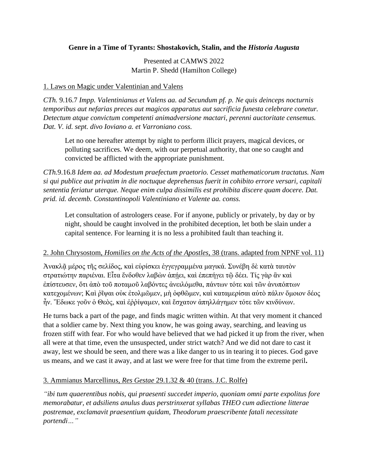# **Genre in a Time of Tyrants: Shostakovich, Stalin, and the** *Historia Augusta*

Presented at CAMWS 2022 Martin P. Shedd (Hamilton College)

### 1. Laws on Magic under Valentinian and Valens

*CTh.* 9.16.7 *Impp. Valentinianus et Valens aa. ad Secundum pf. p. Ne quis deinceps nocturnis temporibus aut nefarias preces aut magicos apparatus aut sacrificia funesta celebrare conetur. Detectum atque convictum competenti animadversione mactari, perenni auctoritate censemus. Dat. V. id. sept. divo Ioviano a. et Varroniano coss.* 

Let no one hereafter attempt by night to perform illicit prayers, magical devices, or polluting sacrifices. We deem, with our perpetual authority, that one so caught and convicted be afflicted with the appropriate punishment.

*CTh.*9.16.8 *Idem aa. ad Modestum praefectum praetorio. Cesset mathematicorum tractatus. Nam si qui publice aut privatim in die noctuque deprehensus fuerit in cohibito errore versari, capitali sententia feriatur uterque. Neque enim culpa dissimilis est prohibita discere quam docere. Dat. prid. id. decemb. Constantinopoli Valentiniano et Valente aa. conss.*

Let consultation of astrologers cease. For if anyone, publicly or privately, by day or by night, should be caught involved in the prohibited deception, let both be slain under a capital sentence. For learning it is no less a prohibited fault than teaching it.

#### 2. John Chrysostom, *Homilies on the Acts of the Apostles*, 38 (trans. adapted from NPNF vol. 11)

Ἀνακλᾷ μέρος τῆς σελίδος, καὶ εὑρίσκει ἐγγεγραμμένα μαγικά. Συνέβη δὲ κατὰ ταυτὸν στρατιώτην παριέναι. Εἶτα ἔνδοθεν λαβὼν ἀπήει, καὶ ἐπεπήγει τῶ δέει. Τίς γὰρ ἂν καὶ ἐπίστευσεν, ὅτι ἀπὸ τοῦ ποταμοῦ λαβόντες ἀνειλόμεθα, πάντων τότε καὶ τῶν ἀνυπόπτων κατεχομένων; Καὶ ῥῖψαι οὐκ ἐτολμῶμεν, μὴ ὀφθῶμεν, καὶ καταμερίσαι αὐτὸ πάλιν ὅμοιον δέος ἦν. Ἔδωκε γοῦν ὁ Θεὸς, καὶ ἐῤῥίψαμεν, καὶ ἔσχατον ἀπηλλάγημεν τότε τῶν κινδύνων.

He turns back a part of the page, and finds magic written within. At that very moment it chanced that a soldier came by. Next thing you know, he was going away, searching, and leaving us frozen stiff with fear. For who would have believed that we had picked it up from the river, when all were at that time, even the unsuspected, under strict watch? And we did not dare to cast it away, lest we should be seen, and there was a like danger to us in tearing it to pieces. God gave us means, and we cast it away, and at last we were free for that time from the extreme peril**.**

# 3. Ammianus Marcellinus, *Res Gestae* 29.1.32 & 40 (trans. J.C. Rolfe)

*"ibi tum quaerentibus nobis, qui praesenti succedet imperio, quoniam omni parte expolitus fore memorabatur, et adsiliens anulus duas perstrinxerat syllabas THEO cum adiectione litterae postremae, exclamavit praesentium quidam, Theodorum praescribente fatali necessitate portendi…"*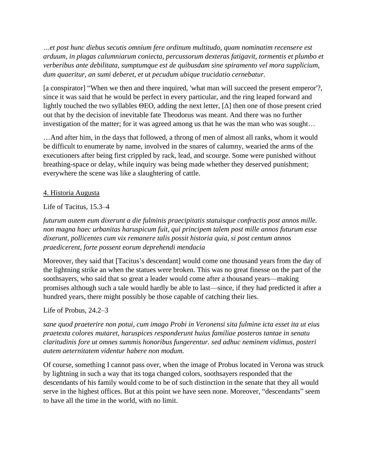*…et post hunc diebus secutis omnium fere ordinum multitudo, quam nominatim recensere est arduum, in plagas calumniarum coniecta, percussorum dexteras fatigavit, tormentis et plumbo et verberibus ante debilitata, sumptumque est de quibusdam sine spiramento vel mora supplicium, dum quaeritur, an sumi deberet, et ut pecudum ubique trucidatio cernebatur.*

[a conspirator] "When we then and there inquired, 'what man will succeed the present emperor'?, since it was said that he would be perfect in every particular, and the ring leaped forward and lightly touched the two syllables ΘΕΟ, adding the next letter,  $[\Delta]$  then one of those present cried out that by the decision of inevitable fate Theodorus was meant. And there was no further investigation of the matter; for it was agreed among us that he was the man who was sought…

…And after him, in the days that followed, a throng of men of almost all ranks, whom it would be difficult to enumerate by name, involved in the snares of calumny, wearied the arms of the executioners after being first crippled by rack, lead, and scourge. Some were punished without breathing-space or delay, while inquiry was being made whether they deserved punishment; everywhere the scene was like a slaughtering of cattle.

## 4. Historia Augusta

## Life of Tacitus, 15.3–4

*futurum autem eum dixerunt a die fulminis praecipitatis statuisque confractis post annos mille. non magna haec urbanitas haruspicum fuit, qui principem talem post mille annos futurum esse dixerunt, pollicentes cum vix remanere talis possit historia quia, si post centum annos praedicerent, forte possent eorum deprehendi mendacia*

Moreover, they said that [Tacitus's descendant] would come one thousand years from the day of the lightning strike an when the statues were broken. This was no great finesse on the part of the soothsayers, who said that so great a leader would come after a thousand years—making promises although such a tale would hardly be able to last—since, if they had predicted it after a hundred years, there might possibly be those capable of catching their lies.

Life of Probus, 24.2–3

*sane quod praeterire non potui, cum imago Probi in Veronensi sita fulmine icta esset ita ut eius praetexta colores mutaret, haruspices responderunt huius familiae posteros tantae in senatu claritudinis fore ut omnes summis honoribus fungerentur. sed adhuc neminem vidimus, posteri autem aeternitatem videntur habere non modum.*

Of course, something I cannot pass over, when the image of Probus located in Verona was struck by lightning in such a way that its toga changed colors, soothsayers responded that the descendants of his family would come to be of such distinction in the senate that they all would serve in the highest offices. But at this point we have seen none. Moreover, "descendants" seem to have all the time in the world, with no limit.